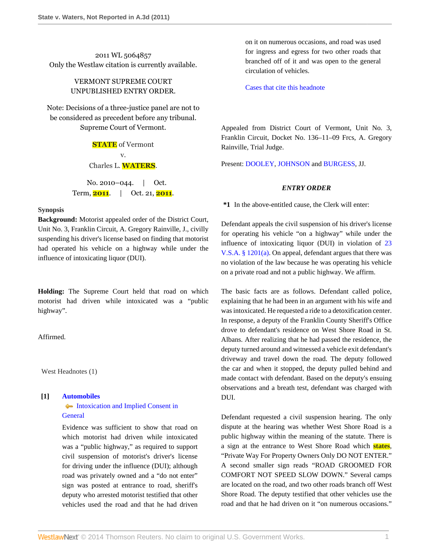2011 WL 5064857 Only the Westlaw citation is currently available.

# VERMONT SUPREME COURT UNPUBLISHED ENTRY ORDER.

Note: Decisions of a three-justice panel are not to be considered as precedent before any tribunal. Supreme Court of Vermont.

> **STATE** of Vermont v. Charles L. **WATERS**.

No. 2010–044. | Oct. Term, **2011**. | Oct. 21, **2011**.

## **Synopsis**

**Background:** Motorist appealed order of the District Court, Unit No. 3, Franklin Circuit, A. Gregory Rainville, J., civilly suspending his driver's license based on finding that motorist had operated his vehicle on a highway while under the influence of intoxicating liquor (DUI).

**Holding:** The Supreme Court held that road on which motorist had driven while intoxicated was a "public highway".

Affirmed.

West Headnotes (1)

#### **[1] [Automobiles](http://www.westlaw.com/Browse/Home/KeyNumber/48A/View.html?docGuid=I8b1d38feffb011e0bc27967e57e99458&originationContext=document&vr=3.0&rs=cblt1.0&transitionType=DocumentItem&contextData=(sc.Search))**

• [Intoxication and Implied Consent in](http://www.westlaw.com/Browse/Home/KeyNumber/48Ak144.2(10.2)/View.html?docGuid=I8b1d38feffb011e0bc27967e57e99458&originationContext=document&vr=3.0&rs=cblt1.0&transitionType=DocumentItem&contextData=(sc.Search)) **[General](http://www.westlaw.com/Browse/Home/KeyNumber/48Ak144.2(10.2)/View.html?docGuid=I8b1d38feffb011e0bc27967e57e99458&originationContext=document&vr=3.0&rs=cblt1.0&transitionType=DocumentItem&contextData=(sc.Search))** 

Evidence was sufficient to show that road on which motorist had driven while intoxicated was a "public highway," as required to support civil suspension of motorist's driver's license for driving under the influence (DUI); although road was privately owned and a "do not enter" sign was posted at entrance to road, sheriff's deputy who arrested motorist testified that other vehicles used the road and that he had driven on it on numerous occasions, and road was used for ingress and egress for two other roads that branched off of it and was open to the general circulation of vehicles.

[Cases that cite this headnote](http://www.westlaw.com/Link/RelatedInformation/DocHeadnoteLink?docGuid=I8b1d38feffb011e0bc27967e57e99458&headnoteId=202639921300020111110&originationContext=document&vr=3.0&rs=cblt1.0&transitionType=CitingReferences&contextData=(sc.Search))

Appealed from District Court of Vermont, Unit No. 3, Franklin Circuit, Docket No. 136–11–09 Frcs, A. Gregory Rainville, Trial Judge.

Present: [DOOLEY,](http://www.westlaw.com/Link/Document/FullText?findType=h&pubNum=176284&cite=0264531601&originatingDoc=I8b1d38feffb011e0bc27967e57e99458&refType=RQ&originationContext=document&vr=3.0&rs=cblt1.0&transitionType=DocumentItem&contextData=(sc.Search)) [JOHNSON](http://www.westlaw.com/Link/Document/FullText?findType=h&pubNum=176284&cite=0230836001&originatingDoc=I8b1d38feffb011e0bc27967e57e99458&refType=RQ&originationContext=document&vr=3.0&rs=cblt1.0&transitionType=DocumentItem&contextData=(sc.Search)) and [BURGESS,](http://www.westlaw.com/Link/Document/FullText?findType=h&pubNum=176284&cite=0119873701&originatingDoc=I8b1d38feffb011e0bc27967e57e99458&refType=RQ&originationContext=document&vr=3.0&rs=cblt1.0&transitionType=DocumentItem&contextData=(sc.Search)) JJ.

### *ENTRY ORDER*

**\*1** In the above-entitled cause, the Clerk will enter:

Defendant appeals the civil suspension of his driver's license for operating his vehicle "on a highway" while under the influence of intoxicating liquor (DUI) in violation of [23](http://www.westlaw.com/Link/Document/FullText?findType=L&pubNum=1000883&cite=VTST23S1201&originatingDoc=I8b1d38feffb011e0bc27967e57e99458&refType=SP&originationContext=document&vr=3.0&rs=cblt1.0&transitionType=DocumentItem&contextData=(sc.Search)#co_pp_8b3b0000958a4) [V.S.A. § 1201\(a\)](http://www.westlaw.com/Link/Document/FullText?findType=L&pubNum=1000883&cite=VTST23S1201&originatingDoc=I8b1d38feffb011e0bc27967e57e99458&refType=SP&originationContext=document&vr=3.0&rs=cblt1.0&transitionType=DocumentItem&contextData=(sc.Search)#co_pp_8b3b0000958a4). On appeal, defendant argues that there was no violation of the law because he was operating his vehicle on a private road and not a public highway. We affirm.

The basic facts are as follows. Defendant called police, explaining that he had been in an argument with his wife and was intoxicated. He requested a ride to a detoxification center. In response, a deputy of the Franklin County Sheriff's Office drove to defendant's residence on West Shore Road in St. Albans. After realizing that he had passed the residence, the deputy turned around and witnessed a vehicle exit defendant's driveway and travel down the road. The deputy followed the car and when it stopped, the deputy pulled behind and made contact with defendant. Based on the deputy's ensuing observations and a breath test, defendant was charged with DUI.

Defendant requested a civil suspension hearing. The only dispute at the hearing was whether West Shore Road is a public highway within the meaning of the statute. There is a sign at the entrance to West Shore Road which **states**, "Private Way For Property Owners Only DO NOT ENTER." A second smaller sign reads "ROAD GROOMED FOR COMFORT NOT SPEED SLOW DOWN." Several camps are located on the road, and two other roads branch off West Shore Road. The deputy testified that other vehicles use the road and that he had driven on it "on numerous occasions."